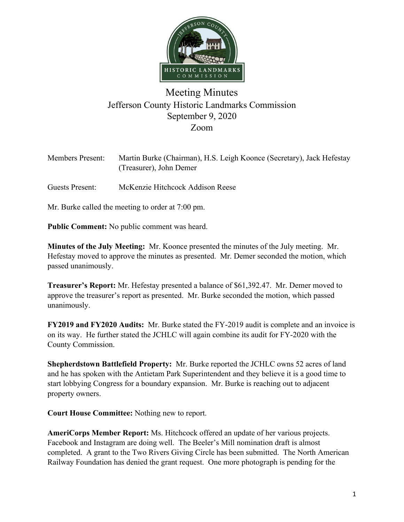

## Meeting Minutes Jefferson County Historic Landmarks Commission September 9, 2020 Zoom

| <b>Members Present:</b> | Martin Burke (Chairman), H.S. Leigh Koonce (Secretary), Jack Hefestay<br>(Treasurer), John Demer |
|-------------------------|--------------------------------------------------------------------------------------------------|
| Guests Present:         | McKenzie Hitchcock Addison Reese                                                                 |

Mr. Burke called the meeting to order at 7:00 pm.

**Public Comment:** No public comment was heard.

**Minutes of the July Meeting:** Mr. Koonce presented the minutes of the July meeting. Mr. Hefestay moved to approve the minutes as presented. Mr. Demer seconded the motion, which passed unanimously.

**Treasurer's Report:** Mr. Hefestay presented a balance of \$61,392.47. Mr. Demer moved to approve the treasurer's report as presented. Mr. Burke seconded the motion, which passed unanimously.

**FY2019 and FY2020 Audits:** Mr. Burke stated the FY-2019 audit is complete and an invoice is on its way. He further stated the JCHLC will again combine its audit for FY-2020 with the County Commission.

**Shepherdstown Battlefield Property:** Mr. Burke reported the JCHLC owns 52 acres of land and he has spoken with the Antietam Park Superintendent and they believe it is a good time to start lobbying Congress for a boundary expansion. Mr. Burke is reaching out to adjacent property owners.

**Court House Committee:** Nothing new to report.

**AmeriCorps Member Report:** Ms. Hitchcock offered an update of her various projects. Facebook and Instagram are doing well. The Beeler's Mill nomination draft is almost completed. A grant to the Two Rivers Giving Circle has been submitted. The North American Railway Foundation has denied the grant request. One more photograph is pending for the